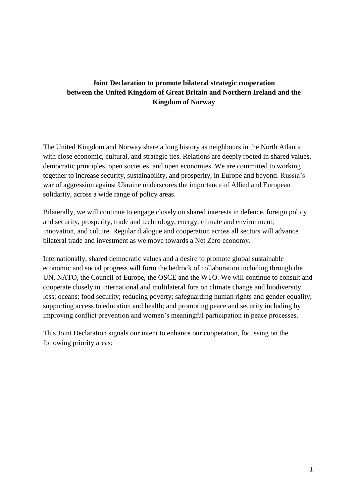## **Joint Declaration to promote bilateral strategic cooperation between the United Kingdom of Great Britain and Northern Ireland and the Kingdom of Norway**

The United Kingdom and Norway share a long history as neighbours in the North Atlantic with close economic, cultural, and strategic ties. Relations are deeply rooted in shared values, democratic principles, open societies, and open economies. We are committed to working together to increase security, sustainability, and prosperity, in Europe and beyond. Russia's war of aggression against Ukraine underscores the importance of Allied and European solidarity, across a wide range of policy areas.

Bilaterally, we will continue to engage closely on shared interests in defence, foreign policy and security, prosperity, trade and technology, energy, climate and environment, innovation, and culture. Regular dialogue and cooperation across all sectors will advance bilateral trade and investment as we move towards a Net Zero economy.

Internationally, shared democratic values and a desire to promote global sustainable economic and social progress will form the bedrock of collaboration including through the UN, NATO, the Council of Europe, the OSCE and the WTO. We will continue to consult and cooperate closely in international and multilateral fora on climate change and biodiversity loss; oceans; food security; reducing poverty; safeguarding human rights and gender equality; supporting access to education and health; and promoting peace and security including by improving conflict prevention and women's meaningful participation in peace processes.

This Joint Declaration signals our intent to enhance our cooperation, focussing on the following priority areas: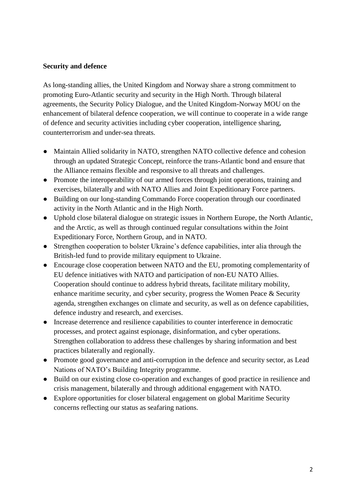#### **Security and defence**

As long-standing allies, the United Kingdom and Norway share a strong commitment to promoting Euro-Atlantic security and security in the High North. Through bilateral agreements, the Security Policy Dialogue, and the United Kingdom-Norway MOU on the enhancement of bilateral defence cooperation, we will continue to cooperate in a wide range of defence and security activities including cyber cooperation, intelligence sharing, counterterrorism and under-sea threats.

- Maintain Allied solidarity in NATO, strengthen NATO collective defence and cohesion through an updated Strategic Concept, reinforce the trans-Atlantic bond and ensure that the Alliance remains flexible and responsive to all threats and challenges.
- Promote the interoperability of our armed forces through joint operations, training and exercises, bilaterally and with NATO Allies and Joint Expeditionary Force partners.
- Building on our long-standing Commando Force cooperation through our coordinated activity in the North Atlantic and in the High North.
- Uphold close bilateral dialogue on strategic issues in Northern Europe, the North Atlantic, and the Arctic, as well as through continued regular consultations within the Joint Expeditionary Force, Northern Group, and in NATO.
- Strengthen cooperation to bolster Ukraine's defence capabilities, inter alia through the British-led fund to provide military equipment to Ukraine.
- Encourage close cooperation between NATO and the EU, promoting complementarity of EU defence initiatives with NATO and participation of non-EU NATO Allies. Cooperation should continue to address hybrid threats, facilitate military mobility, enhance maritime security, and cyber security, progress the Women Peace & Security agenda, strengthen exchanges on climate and security, as well as on defence capabilities, defence industry and research, and exercises.
- Increase deterrence and resilience capabilities to counter interference in democratic processes, and protect against espionage, disinformation, and cyber operations. Strengthen collaboration to address these challenges by sharing information and best practices bilaterally and regionally.
- Promote good governance and anti-corruption in the defence and security sector, as Lead Nations of NATO's Building Integrity programme.
- Build on our existing close co-operation and exchanges of good practice in resilience and crisis management, bilaterally and through additional engagement with NATO.
- Explore opportunities for closer bilateral engagement on global Maritime Security concerns reflecting our status as seafaring nations.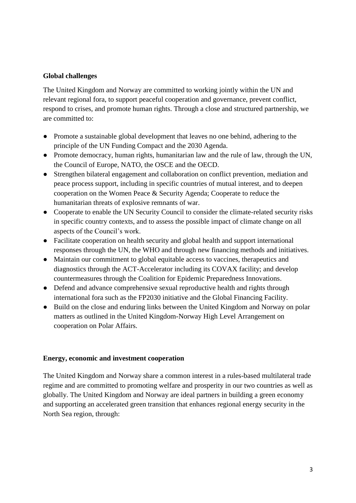### **Global challenges**

The United Kingdom and Norway are committed to working jointly within the UN and relevant regional fora, to support peaceful cooperation and governance, prevent conflict, respond to crises, and promote human rights. Through a close and structured partnership, we are committed to:

- Promote a sustainable global development that leaves no one behind, adhering to the principle of the UN Funding Compact and the 2030 Agenda.
- Promote democracy, human rights, humanitarian law and the rule of law, through the UN, the Council of Europe, NATO, the OSCE and the OECD.
- Strengthen bilateral engagement and collaboration on conflict prevention, mediation and peace process support, including in specific countries of mutual interest, and to deepen cooperation on the Women Peace & Security Agenda; Cooperate to reduce the humanitarian threats of explosive remnants of war.
- Cooperate to enable the UN Security Council to consider the climate-related security risks in specific country contexts, and to assess the possible impact of climate change on all aspects of the Council's work.
- Facilitate cooperation on health security and global health and support international responses through the UN, the WHO and through new financing methods and initiatives.
- Maintain our commitment to global equitable access to vaccines, therapeutics and diagnostics through the ACT-Accelerator including its COVAX facility; and develop countermeasures through the Coalition for Epidemic Preparedness Innovations.
- Defend and advance comprehensive sexual reproductive health and rights through international fora such as the FP2030 initiative and the Global Financing Facility.
- Build on the close and enduring links between the United Kingdom and Norway on polar matters as outlined in the United Kingdom-Norway High Level Arrangement on cooperation on Polar Affairs.

#### **Energy, economic and investment cooperation**

The United Kingdom and Norway share a common interest in a rules-based multilateral trade regime and are committed to promoting welfare and prosperity in our two countries as well as globally. The United Kingdom and Norway are ideal partners in building a green economy and supporting an accelerated green transition that enhances regional energy security in the North Sea region, through: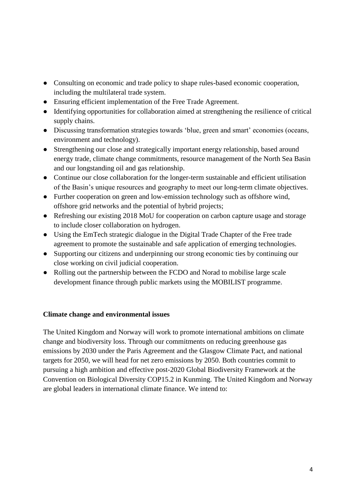- Consulting on economic and trade policy to shape rules-based economic cooperation, including the multilateral trade system.
- Ensuring efficient implementation of the Free Trade Agreement.
- Identifying opportunities for collaboration aimed at strengthening the resilience of critical supply chains.
- Discussing transformation strategies towards 'blue, green and smart' economies (oceans, environment and technology).
- Strengthening our close and strategically important energy relationship, based around energy trade, climate change commitments, resource management of the North Sea Basin and our longstanding oil and gas relationship.
- Continue our close collaboration for the longer-term sustainable and efficient utilisation of the Basin's unique resources and geography to meet our long-term climate objectives.
- Further cooperation on green and low-emission technology such as offshore wind, offshore grid networks and the potential of hybrid projects;
- Refreshing our existing 2018 MoU for cooperation on carbon capture usage and storage to include closer collaboration on hydrogen.
- Using the EmTech strategic dialogue in the Digital Trade Chapter of the Free trade agreement to promote the sustainable and safe application of emerging technologies.
- Supporting our citizens and underpinning our strong economic ties by continuing our close working on civil judicial cooperation.
- Rolling out the partnership between the FCDO and Norad to mobilise large scale development finance through public markets using the MOBILIST programme.

## **Climate change and environmental issues**

The United Kingdom and Norway will work to promote international ambitions on climate change and biodiversity loss. Through our commitments on reducing greenhouse gas emissions by 2030 under the Paris Agreement and the Glasgow Climate Pact, and national targets for 2050, we will head for net zero emissions by 2050. Both countries commit to pursuing a high ambition and effective post-2020 Global Biodiversity Framework at the Convention on Biological Diversity COP15.2 in Kunming. The United Kingdom and Norway are global leaders in international climate finance. We intend to: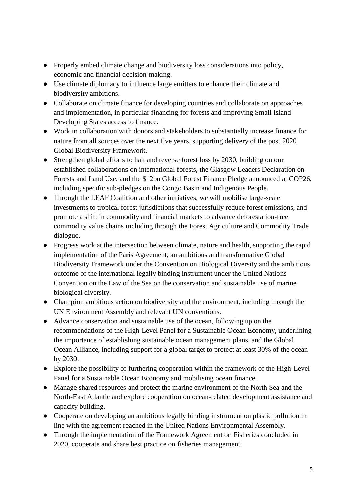- Properly embed climate change and biodiversity loss considerations into policy, economic and financial decision-making.
- Use climate diplomacy to influence large emitters to enhance their climate and biodiversity ambitions.
- Collaborate on climate finance for developing countries and collaborate on approaches and implementation, in particular financing for forests and improving Small Island Developing States access to finance.
- Work in collaboration with donors and stakeholders to substantially increase finance for nature from all sources over the next five years, supporting delivery of the post 2020 Global Biodiversity Framework.
- Strengthen global efforts to halt and reverse forest loss by 2030, building on our established collaborations on international forests, the Glasgow Leaders Declaration on Forests and Land Use, and the \$12bn Global Forest Finance Pledge announced at COP26, including specific sub-pledges on the Congo Basin and Indigenous People.
- Through the LEAF Coalition and other initiatives, we will mobilise large-scale investments to tropical forest jurisdictions that successfully reduce forest emissions, and promote a shift in commodity and financial markets to advance deforestation-free commodity value chains including through the Forest Agriculture and Commodity Trade dialogue.
- Progress work at the intersection between climate, nature and health, supporting the rapid implementation of the Paris Agreement, an ambitious and transformative Global Biodiversity Framework under the Convention on Biological Diversity and the ambitious outcome of the international legally binding instrument under the United Nations Convention on the Law of the Sea on the conservation and sustainable use of marine biological diversity.
- Champion ambitious action on biodiversity and the environment, including through the UN Environment Assembly and relevant UN conventions.
- Advance conservation and sustainable use of the ocean, following up on the recommendations of the High-Level Panel for a Sustainable Ocean Economy, underlining the importance of establishing sustainable ocean management plans, and the Global Ocean Alliance, including support for a global target to protect at least 30% of the ocean by 2030.
- Explore the possibility of furthering cooperation within the framework of the High-Level Panel for a Sustainable Ocean Economy and mobilising ocean finance.
- Manage shared resources and protect the marine environment of the North Sea and the North-East Atlantic and explore cooperation on ocean-related development assistance and capacity building.
- Cooperate on developing an ambitious legally binding instrument on plastic pollution in line with the agreement reached in the United Nations Environmental Assembly.
- Through the implementation of the Framework Agreement on Fisheries concluded in 2020, cooperate and share best practice on fisheries management.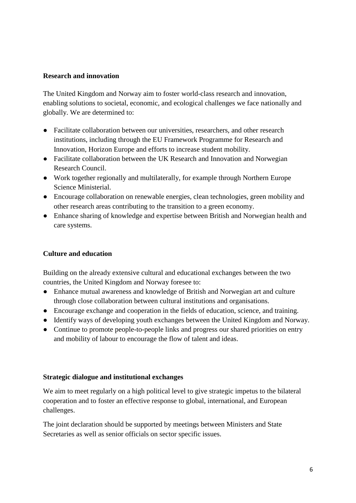#### **Research and innovation**

The United Kingdom and Norway aim to foster world-class research and innovation, enabling solutions to societal, economic, and ecological challenges we face nationally and globally. We are determined to:

- Facilitate collaboration between our universities, researchers, and other research institutions, including through the EU Framework Programme for Research and Innovation, Horizon Europe and efforts to increase student mobility.
- Facilitate collaboration between the UK Research and Innovation and Norwegian Research Council.
- Work together regionally and multilaterally, for example through Northern Europe Science Ministerial.
- Encourage collaboration on renewable energies, clean technologies, green mobility and other research areas contributing to the transition to a green economy.
- Enhance sharing of knowledge and expertise between British and Norwegian health and care systems.

#### **Culture and education**

Building on the already extensive cultural and educational exchanges between the two countries, the United Kingdom and Norway foresee to:

- Enhance mutual awareness and knowledge of British and Norwegian art and culture through close collaboration between cultural institutions and organisations.
- Encourage exchange and cooperation in the fields of education, science, and training.
- Identify ways of developing youth exchanges between the United Kingdom and Norway.
- Continue to promote people-to-people links and progress our shared priorities on entry and mobility of labour to encourage the flow of talent and ideas.

#### **Strategic dialogue and institutional exchanges**

We aim to meet regularly on a high political level to give strategic impetus to the bilateral cooperation and to foster an effective response to global, international, and European challenges.

The joint declaration should be supported by meetings between Ministers and State Secretaries as well as senior officials on sector specific issues.